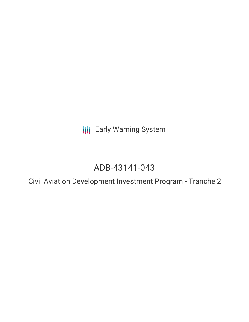**III** Early Warning System

# ADB-43141-043

Civil Aviation Development Investment Program - Tranche 2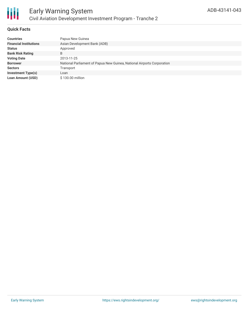

#### **Quick Facts**

| <b>Countries</b>              | Papua New Guinea                                                       |
|-------------------------------|------------------------------------------------------------------------|
| <b>Financial Institutions</b> | Asian Development Bank (ADB)                                           |
| <b>Status</b>                 | Approved                                                               |
| <b>Bank Risk Rating</b>       | B                                                                      |
| <b>Voting Date</b>            | 2013-11-25                                                             |
| <b>Borrower</b>               | National Parliament of Papua New Guinea, National Airports Corporation |
| <b>Sectors</b>                | Transport                                                              |
| <b>Investment Type(s)</b>     | Loan                                                                   |
| <b>Loan Amount (USD)</b>      | $$130.00$ million                                                      |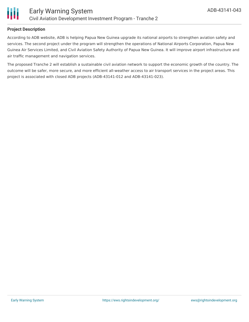

#### **Project Description**

According to ADB website, ADB is helping Papua New Guinea upgrade its national airports to strengthen aviation safety and services. The second project under the program will strengthen the operations of National Airports Corporation, Papua New Guinea Air Services Limited, and Civil Aviation Safety Authority of Papua New Guinea. It will improve airport infrastructure and air traffic management and navigation services.

The proposed Tranche 2 will establish a sustainable civil aviation network to support the economic growth of the country. The outcome will be safer, more secure, and more efficient all-weather access to air transport services in the project areas. This project is associated with closed ADB projects (ADB-43141-012 and ADB-43141-023).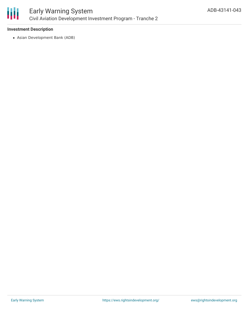

#### **Investment Description**

Asian Development Bank (ADB)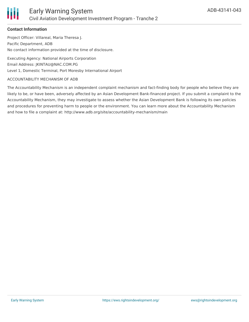

#### **Contact Information**

Project Officer: Villareal, Maria Theresa J. Pacific Department, ADB No contact information provided at the time of disclosure.

Executing Agency: National Airports Corporation Email Address: JKINTAU@NAC.COM.PG Level 1, Domestic Terminal, Port Moresby International Airport

#### ACCOUNTABILITY MECHANISM OF ADB

The Accountability Mechanism is an independent complaint mechanism and fact-finding body for people who believe they are likely to be, or have been, adversely affected by an Asian Development Bank-financed project. If you submit a complaint to the Accountability Mechanism, they may investigate to assess whether the Asian Development Bank is following its own policies and procedures for preventing harm to people or the environment. You can learn more about the Accountability Mechanism and how to file a complaint at: http://www.adb.org/site/accountability-mechanism/main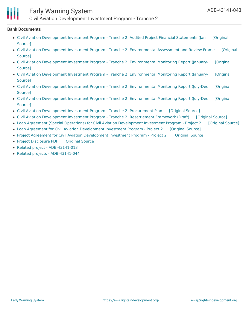

## Early Warning System

Civil Aviation Development Investment Program - Tranche 2

#### **Bank Documents**

- Civil Aviation [Development](https://ewsdata.rightsindevelopment.org/files/documents/43/ADB-43141-043_jgLbgqk.pdf) Investment Program Tranche 2: Audited Project Financial Statements (Jan [Original Source]
- Civil Aviation Development Investment Program Tranche 2: [Environmental](https://ewsdata.rightsindevelopment.org/files/documents/43/ADB-43141-043_5JuNx5T.pdf) Assessment and Review Frame [Original Source]
- Civil Aviation Development Investment Program Tranche 2: [Environmental](https://ewsdata.rightsindevelopment.org/files/documents/43/ADB-43141-043_mzBlP5M.pdf) Monitoring Report (January- [Original Source]
- Civil Aviation Development Investment Program Tranche 2: [Environmental](https://ewsdata.rightsindevelopment.org/files/documents/43/ADB-43141-043_Xvzao5W.pdf) Monitoring Report (January- [Original **Source1**
- Civil Aviation Development Investment Program Tranche 2: [Environmental](https://ewsdata.rightsindevelopment.org/files/documents/43/ADB-43141-043_w2byvSQ.pdf) Monitoring Report (July-Dec [Original Source]
- Civil Aviation Development Investment Program Tranche 2: [Environmental](https://ewsdata.rightsindevelopment.org/files/documents/43/ADB-43141-043_aRileEP.pdf) Monitoring Report (July-Dec [Original Source]
- Civil Aviation [Development](https://ewsdata.rightsindevelopment.org/files/documents/43/ADB-43141-043_mfGc4Vq.pdf) Investment Program Tranche 2: Procurement Plan [\[Original](https://www.adb.org/projects/documents/civil-aviation-development-investment-program-tranche-2-pp) Source]
- Civil Aviation Development Investment Program Tranche 2: [Resettlement](https://ewsdata.rightsindevelopment.org/files/documents/43/ADB-43141-043_PMZP7u3.pdf) Framework (Draft) [\[Original](https://www.adb.org/projects/documents/civil-aviation-development-investment-program-tranche-2-resettlement-framework) Source]
- Loan Agreement (Special Operations) for Civil Aviation [Development](https://ewsdata.rightsindevelopment.org/files/documents/43/ADB-43141-043_Czh8k8l.pdf) Investment Program Project 2 [\[Original](https://www.adb.org/projects/documents/loan-agreement-special-operations-civil-aviation-development-investment-program-project-2) Source]
- Loan Agreement for Civil Aviation [Development](https://ewsdata.rightsindevelopment.org/files/documents/43/ADB-43141-043_C4xpnbx.pdf) Investment Program Project 2 [\[Original](https://www.adb.org/projects/documents/loan-agreement-civil-aviation-development-investment-program-project-2) Source]
- Project Agreement for Civil Aviation [Development](https://ewsdata.rightsindevelopment.org/files/documents/43/ADB-43141-043_uB5ILp2.pdf) Investment Program Project 2 [\[Original](https://www.adb.org/projects/documents/project-agreement-civil-aviation-development-investment-program-project-2) Source]
- Project [Disclosure](https://ewsdata.rightsindevelopment.org/files/documents/43/ADB-43141-043.pdf) PDF [\[Original](https://www.adb.org/printpdf/projects/43141-043/main) Source]
- Related project [ADB-43141-013](https://www.adb.org/projects/43141-013/main)
- Related projects [ADB-43141-044](https://www.adb.org/projects/43141-044/main)